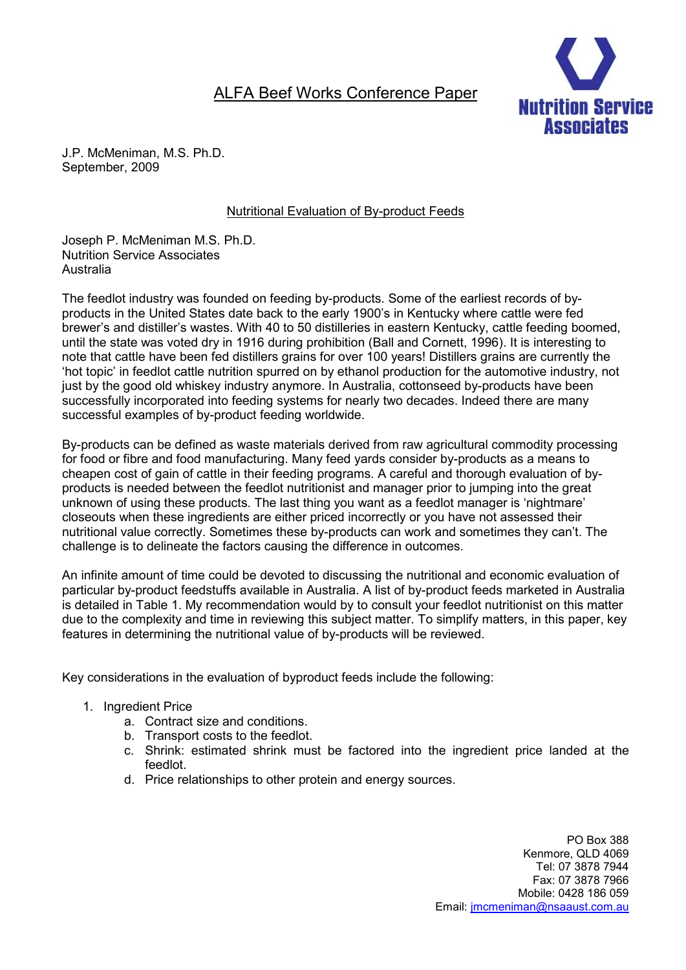# ALFA Beef Works Conference Paper



J.P. McMeniman, M.S. Ph.D. September, 2009

## Nutritional Evaluation of By-product Feeds

Joseph P. McMeniman M.S. Ph.D. Nutrition Service Associates Australia

The feedlot industry was founded on feeding by-products. Some of the earliest records of byproducts in the United States date back to the early 1900's in Kentucky where cattle were fed brewer's and distiller's wastes. With 40 to 50 distilleries in eastern Kentucky, cattle feeding boomed, until the state was voted dry in 1916 during prohibition (Ball and Cornett, 1996). It is interesting to note that cattle have been fed distillers grains for over 100 years! Distillers grains are currently the 'hot topic' in feedlot cattle nutrition spurred on by ethanol production for the automotive industry, not just by the good old whiskey industry anymore. In Australia, cottonseed by-products have been successfully incorporated into feeding systems for nearly two decades. Indeed there are many successful examples of by-product feeding worldwide.

By-products can be defined as waste materials derived from raw agricultural commodity processing for food or fibre and food manufacturing. Many feed yards consider by-products as a means to cheapen cost of gain of cattle in their feeding programs. A careful and thorough evaluation of byproducts is needed between the feedlot nutritionist and manager prior to jumping into the great unknown of using these products. The last thing you want as a feedlot manager is 'nightmare' closeouts when these ingredients are either priced incorrectly or you have not assessed their nutritional value correctly. Sometimes these by-products can work and sometimes they can't. The challenge is to delineate the factors causing the difference in outcomes.

An infinite amount of time could be devoted to discussing the nutritional and economic evaluation of particular by-product feedstuffs available in Australia. A list of by-product feeds marketed in Australia is detailed in Table 1. My recommendation would by to consult your feedlot nutritionist on this matter due to the complexity and time in reviewing this subject matter. To simplify matters, in this paper, key features in determining the nutritional value of by-products will be reviewed.

Key considerations in the evaluation of byproduct feeds include the following:

- 1. Ingredient Price
	- a. Contract size and conditions.
	- b. Transport costs to the feedlot.
	- c. Shrink: estimated shrink must be factored into the ingredient price landed at the feedlot.
	- d. Price relationships to other protein and energy sources.

PO Box 388 Kenmore, QLD 4069 Tel: 07 3878 7944 Fax: 07 3878 7966 Mobile: 0428 186 059 Email: jmcmeniman@nsaaust.com.au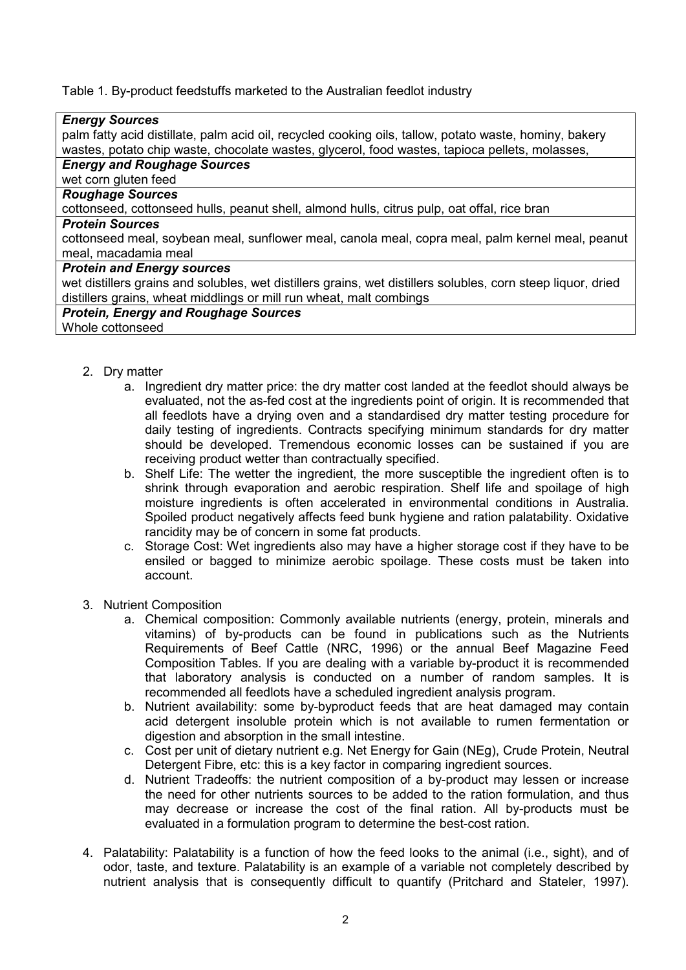Table 1. By-product feedstuffs marketed to the Australian feedlot industry

| <b>Energy Sources</b>                                                                                        |
|--------------------------------------------------------------------------------------------------------------|
| palm fatty acid distillate, palm acid oil, recycled cooking oils, tallow, potato waste, hominy, bakery       |
| wastes, potato chip waste, chocolate wastes, glycerol, food wastes, tapioca pellets, molasses,               |
| <b>Energy and Roughage Sources</b>                                                                           |
| wet corn gluten feed                                                                                         |
| <b>Roughage Sources</b>                                                                                      |
| cottonseed, cottonseed hulls, peanut shell, almond hulls, citrus pulp, oat offal, rice bran                  |
| <b>Protein Sources</b>                                                                                       |
| cottonseed meal, soybean meal, sunflower meal, canola meal, copra meal, palm kernel meal, peanut             |
| meal, macadamia meal                                                                                         |
| <b>Protein and Energy sources</b>                                                                            |
| wet distillers grains and solubles, wet distillers grains, wet distillers solubles, corn steep liquor, dried |
| distillers grains, wheat middlings or mill run wheat, malt combings                                          |
| <b>Protein, Energy and Roughage Sources</b>                                                                  |
| Whole cottonseed                                                                                             |
|                                                                                                              |

- 2. Dry matter
	- a. Ingredient dry matter price: the dry matter cost landed at the feedlot should always be evaluated, not the as-fed cost at the ingredients point of origin. It is recommended that all feedlots have a drying oven and a standardised dry matter testing procedure for daily testing of ingredients. Contracts specifying minimum standards for dry matter should be developed. Tremendous economic losses can be sustained if you are receiving product wetter than contractually specified.
	- b. Shelf Life: The wetter the ingredient, the more susceptible the ingredient often is to shrink through evaporation and aerobic respiration. Shelf life and spoilage of high moisture ingredients is often accelerated in environmental conditions in Australia. Spoiled product negatively affects feed bunk hygiene and ration palatability. Oxidative rancidity may be of concern in some fat products.
	- c. Storage Cost: Wet ingredients also may have a higher storage cost if they have to be ensiled or bagged to minimize aerobic spoilage. These costs must be taken into account.
- 3. Nutrient Composition
	- a. Chemical composition: Commonly available nutrients (energy, protein, minerals and vitamins) of by-products can be found in publications such as the Nutrients Requirements of Beef Cattle (NRC, 1996) or the annual Beef Magazine Feed Composition Tables. If you are dealing with a variable by-product it is recommended that laboratory analysis is conducted on a number of random samples. It is recommended all feedlots have a scheduled ingredient analysis program.
	- b. Nutrient availability: some by-byproduct feeds that are heat damaged may contain acid detergent insoluble protein which is not available to rumen fermentation or digestion and absorption in the small intestine.
	- c. Cost per unit of dietary nutrient e.g. Net Energy for Gain (NEg), Crude Protein, Neutral Detergent Fibre, etc: this is a key factor in comparing ingredient sources.
	- d. Nutrient Tradeoffs: the nutrient composition of a by-product may lessen or increase the need for other nutrients sources to be added to the ration formulation, and thus may decrease or increase the cost of the final ration. All by-products must be evaluated in a formulation program to determine the best-cost ration.
- 4. Palatability: Palatability is a function of how the feed looks to the animal (i.e., sight), and of odor, taste, and texture. Palatability is an example of a variable not completely described by nutrient analysis that is consequently difficult to quantify (Pritchard and Stateler, 1997).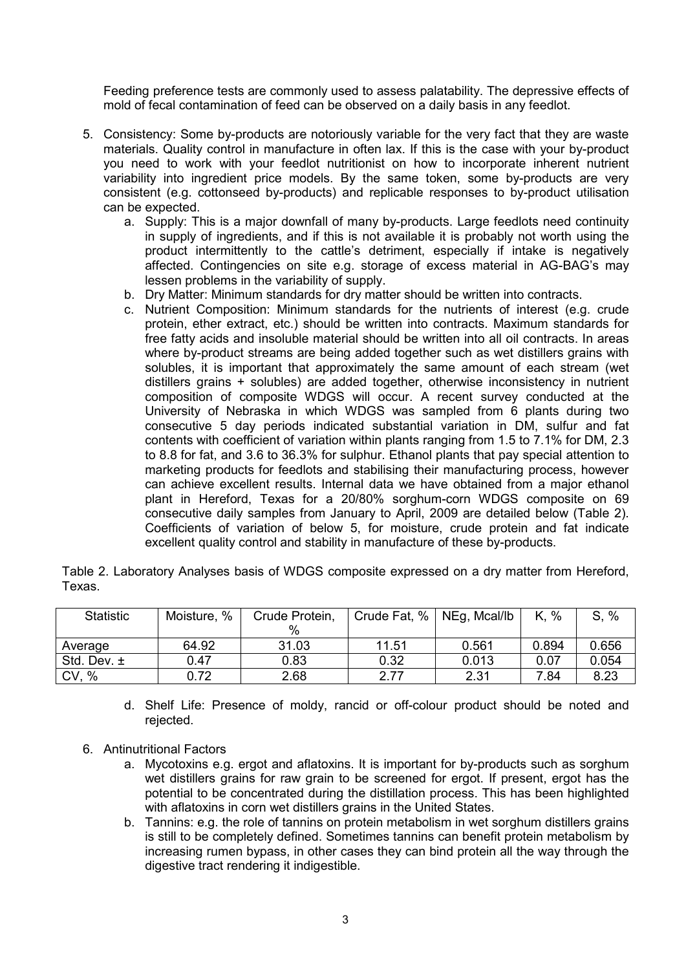Feeding preference tests are commonly used to assess palatability. The depressive effects of mold of fecal contamination of feed can be observed on a daily basis in any feedlot.

- 5. Consistency: Some by-products are notoriously variable for the very fact that they are waste materials. Quality control in manufacture in often lax. If this is the case with your by-product you need to work with your feedlot nutritionist on how to incorporate inherent nutrient variability into ingredient price models. By the same token, some by-products are very consistent (e.g. cottonseed by-products) and replicable responses to by-product utilisation can be expected.
	- a. Supply: This is a major downfall of many by-products. Large feedlots need continuity in supply of ingredients, and if this is not available it is probably not worth using the product intermittently to the cattle's detriment, especially if intake is negatively affected. Contingencies on site e.g. storage of excess material in AG-BAG's may lessen problems in the variability of supply.
	- b. Dry Matter: Minimum standards for dry matter should be written into contracts.
	- c. Nutrient Composition: Minimum standards for the nutrients of interest (e.g. crude protein, ether extract, etc.) should be written into contracts. Maximum standards for free fatty acids and insoluble material should be written into all oil contracts. In areas where by-product streams are being added together such as wet distillers grains with solubles, it is important that approximately the same amount of each stream (wet distillers grains + solubles) are added together, otherwise inconsistency in nutrient composition of composite WDGS will occur. A recent survey conducted at the University of Nebraska in which WDGS was sampled from 6 plants during two consecutive 5 day periods indicated substantial variation in DM, sulfur and fat contents with coefficient of variation within plants ranging from 1.5 to 7.1% for DM, 2.3 to 8.8 for fat, and 3.6 to 36.3% for sulphur. Ethanol plants that pay special attention to marketing products for feedlots and stabilising their manufacturing process, however can achieve excellent results. Internal data we have obtained from a major ethanol plant in Hereford, Texas for a 20/80% sorghum-corn WDGS composite on 69 consecutive daily samples from January to April, 2009 are detailed below (Table 2). Coefficients of variation of below 5, for moisture, crude protein and fat indicate excellent quality control and stability in manufacture of these by-products.

|        | Table 2. Laboratory Analyses basis of WDGS composite expressed on a dry matter from Hereford, |  |  |  |  |  |
|--------|-----------------------------------------------------------------------------------------------|--|--|--|--|--|
| Texas. |                                                                                               |  |  |  |  |  |

| <b>Statistic</b> | Moisture, % | Crude Protein, | Crude Fat, % | NEg, Mcal/lb | K, %  | S, %  |
|------------------|-------------|----------------|--------------|--------------|-------|-------|
|                  |             | %              |              |              |       |       |
| Average          | 64.92       | 31.03          | 11.51        | 0.561        | 0.894 | 0.656 |
| Std. Dev. $\pm$  | 0.47        | 0.83           | 0.32         | 0.013        | 0.07  | 0.054 |
| CV, %            | 0.72        | 2.68           | 2.77         | 2.31         | 7.84  | 8.23  |

- d. Shelf Life: Presence of moldy, rancid or off-colour product should be noted and rejected.
- 6. Antinutritional Factors
	- a. Mycotoxins e.g. ergot and aflatoxins. It is important for by-products such as sorghum wet distillers grains for raw grain to be screened for ergot. If present, ergot has the potential to be concentrated during the distillation process. This has been highlighted with aflatoxins in corn wet distillers grains in the United States.
	- b. Tannins: e.g. the role of tannins on protein metabolism in wet sorghum distillers grains is still to be completely defined. Sometimes tannins can benefit protein metabolism by increasing rumen bypass, in other cases they can bind protein all the way through the digestive tract rendering it indigestible.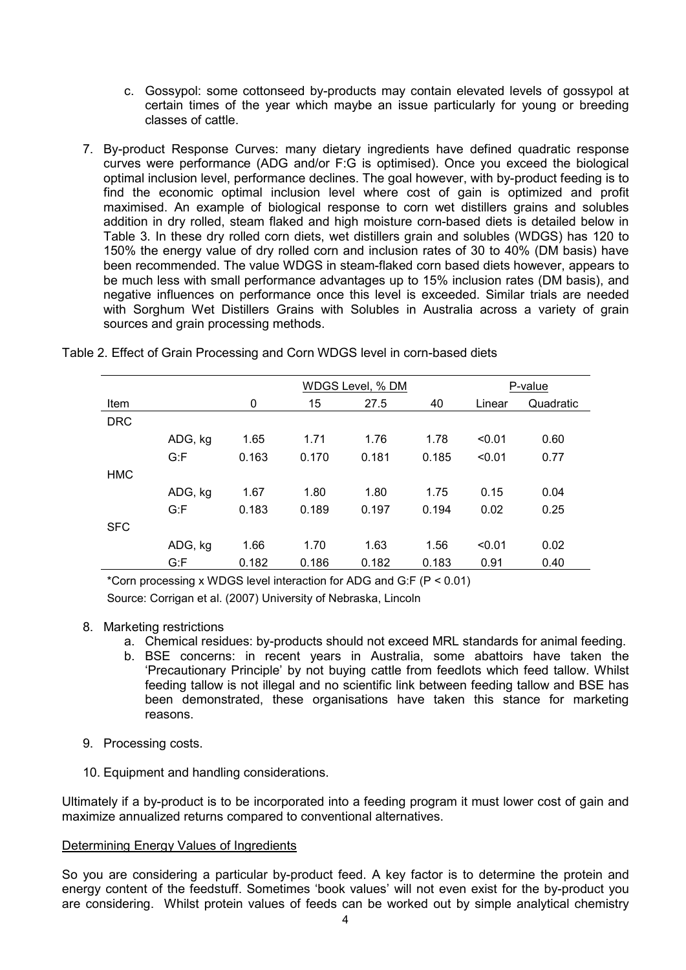- c. Gossypol: some cottonseed by-products may contain elevated levels of gossypol at certain times of the year which maybe an issue particularly for young or breeding classes of cattle.
- 7. By-product Response Curves: many dietary ingredients have defined quadratic response curves were performance (ADG and/or F:G is optimised). Once you exceed the biological optimal inclusion level, performance declines. The goal however, with by-product feeding is to find the economic optimal inclusion level where cost of gain is optimized and profit maximised. An example of biological response to corn wet distillers grains and solubles addition in dry rolled, steam flaked and high moisture corn-based diets is detailed below in Table 3. In these dry rolled corn diets, wet distillers grain and solubles (WDGS) has 120 to 150% the energy value of dry rolled corn and inclusion rates of 30 to 40% (DM basis) have been recommended. The value WDGS in steam-flaked corn based diets however, appears to be much less with small performance advantages up to 15% inclusion rates (DM basis), and negative influences on performance once this level is exceeded. Similar trials are needed with Sorghum Wet Distillers Grains with Solubles in Australia across a variety of grain sources and grain processing methods.

|            |         |       | WDGS Level, % DM |       |       | P-value |           |  |
|------------|---------|-------|------------------|-------|-------|---------|-----------|--|
| Item       |         | 0     | 15               | 27.5  | 40    | Linear  | Quadratic |  |
| <b>DRC</b> |         |       |                  |       |       |         |           |  |
|            | ADG, kg | 1.65  | 1.71             | 1.76  | 1.78  | < 0.01  | 0.60      |  |
|            | G: F    | 0.163 | 0.170            | 0.181 | 0.185 | < 0.01  | 0.77      |  |
| <b>HMC</b> |         |       |                  |       |       |         |           |  |
|            | ADG, kg | 1.67  | 1.80             | 1.80  | 1.75  | 0.15    | 0.04      |  |
|            | G: F    | 0.183 | 0.189            | 0.197 | 0.194 | 0.02    | 0.25      |  |
| <b>SFC</b> |         |       |                  |       |       |         |           |  |
|            | ADG, kg | 1.66  | 1.70             | 1.63  | 1.56  | < 0.01  | 0.02      |  |
|            | G: F    | 0.182 | 0.186            | 0.182 | 0.183 | 0.91    | 0.40      |  |

Table 2. Effect of Grain Processing and Corn WDGS level in corn-based diets

\*Corn processing x WDGS level interaction for ADG and G:F (P < 0.01) Source: Corrigan et al. (2007) University of Nebraska, Lincoln

### 8. Marketing restrictions

- a. Chemical residues: by-products should not exceed MRL standards for animal feeding.
- b. BSE concerns: in recent years in Australia, some abattoirs have taken the 'Precautionary Principle' by not buying cattle from feedlots which feed tallow. Whilst feeding tallow is not illegal and no scientific link between feeding tallow and BSE has been demonstrated, these organisations have taken this stance for marketing reasons.
- 9. Processing costs.
- 10. Equipment and handling considerations.

Ultimately if a by-product is to be incorporated into a feeding program it must lower cost of gain and maximize annualized returns compared to conventional alternatives.

### Determining Energy Values of Ingredients

So you are considering a particular by-product feed. A key factor is to determine the protein and energy content of the feedstuff. Sometimes 'book values' will not even exist for the by-product you are considering. Whilst protein values of feeds can be worked out by simple analytical chemistry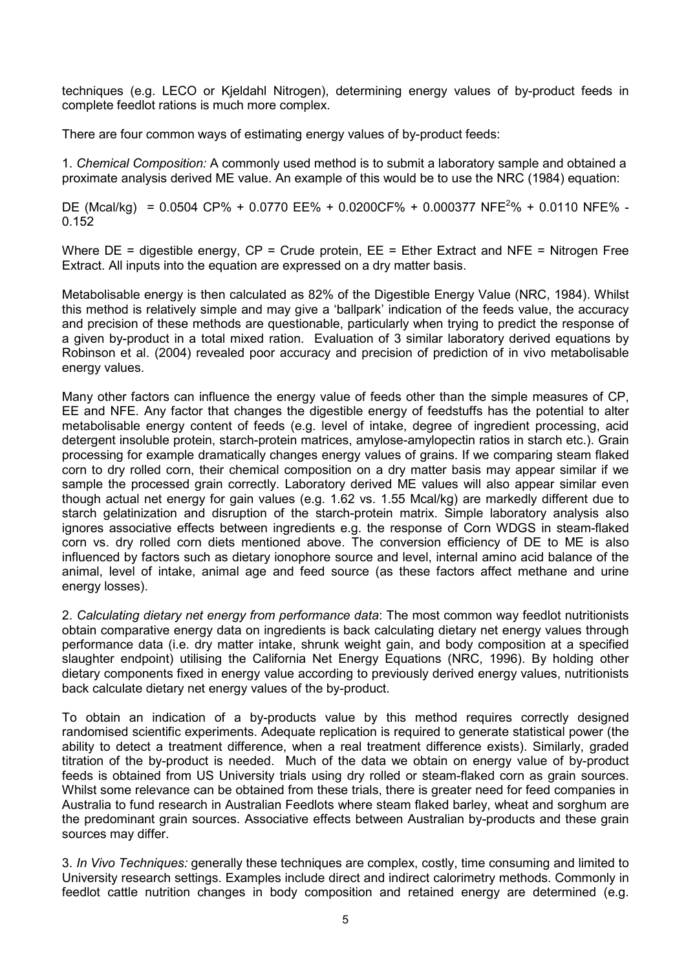techniques (e.g. LECO or Kjeldahl Nitrogen), determining energy values of by-product feeds in complete feedlot rations is much more complex.

There are four common ways of estimating energy values of by-product feeds:

1. *Chemical Composition:* A commonly used method is to submit a laboratory sample and obtained a proximate analysis derived ME value. An example of this would be to use the NRC (1984) equation:

DE (Mcal/kg) =  $0.0504$  CP% +  $0.0770$  EE% +  $0.0200$ CF% +  $0.000377$  NFE<sup>2</sup>% +  $0.0110$  NFE% -0.152

Where  $DE =$  digestible energy,  $CP =$  Crude protein,  $EE =$  Ether Extract and NFE = Nitrogen Free Extract. All inputs into the equation are expressed on a dry matter basis.

Metabolisable energy is then calculated as 82% of the Digestible Energy Value (NRC, 1984). Whilst this method is relatively simple and may give a 'ballpark' indication of the feeds value, the accuracy and precision of these methods are questionable, particularly when trying to predict the response of a given by-product in a total mixed ration. Evaluation of 3 similar laboratory derived equations by Robinson et al. (2004) revealed poor accuracy and precision of prediction of in vivo metabolisable energy values.

Many other factors can influence the energy value of feeds other than the simple measures of CP, EE and NFE. Any factor that changes the digestible energy of feedstuffs has the potential to alter metabolisable energy content of feeds (e.g. level of intake, degree of ingredient processing, acid detergent insoluble protein, starch-protein matrices, amylose-amylopectin ratios in starch etc.). Grain processing for example dramatically changes energy values of grains. If we comparing steam flaked corn to dry rolled corn, their chemical composition on a dry matter basis may appear similar if we sample the processed grain correctly. Laboratory derived ME values will also appear similar even though actual net energy for gain values (e.g. 1.62 vs. 1.55 Mcal/kg) are markedly different due to starch gelatinization and disruption of the starch-protein matrix. Simple laboratory analysis also ignores associative effects between ingredients e.g. the response of Corn WDGS in steam-flaked corn vs. dry rolled corn diets mentioned above. The conversion efficiency of DE to ME is also influenced by factors such as dietary ionophore source and level, internal amino acid balance of the animal, level of intake, animal age and feed source (as these factors affect methane and urine energy losses).

2. *Calculating dietary net energy from performance data*: The most common way feedlot nutritionists obtain comparative energy data on ingredients is back calculating dietary net energy values through performance data (i.e. dry matter intake, shrunk weight gain, and body composition at a specified slaughter endpoint) utilising the California Net Energy Equations (NRC, 1996). By holding other dietary components fixed in energy value according to previously derived energy values, nutritionists back calculate dietary net energy values of the by-product.

To obtain an indication of a by-products value by this method requires correctly designed randomised scientific experiments. Adequate replication is required to generate statistical power (the ability to detect a treatment difference, when a real treatment difference exists). Similarly, graded titration of the by-product is needed. Much of the data we obtain on energy value of by-product feeds is obtained from US University trials using dry rolled or steam-flaked corn as grain sources. Whilst some relevance can be obtained from these trials, there is greater need for feed companies in Australia to fund research in Australian Feedlots where steam flaked barley, wheat and sorghum are the predominant grain sources. Associative effects between Australian by-products and these grain sources may differ.

3. *In Vivo Techniques:* generally these techniques are complex, costly, time consuming and limited to University research settings. Examples include direct and indirect calorimetry methods. Commonly in feedlot cattle nutrition changes in body composition and retained energy are determined (e.g.